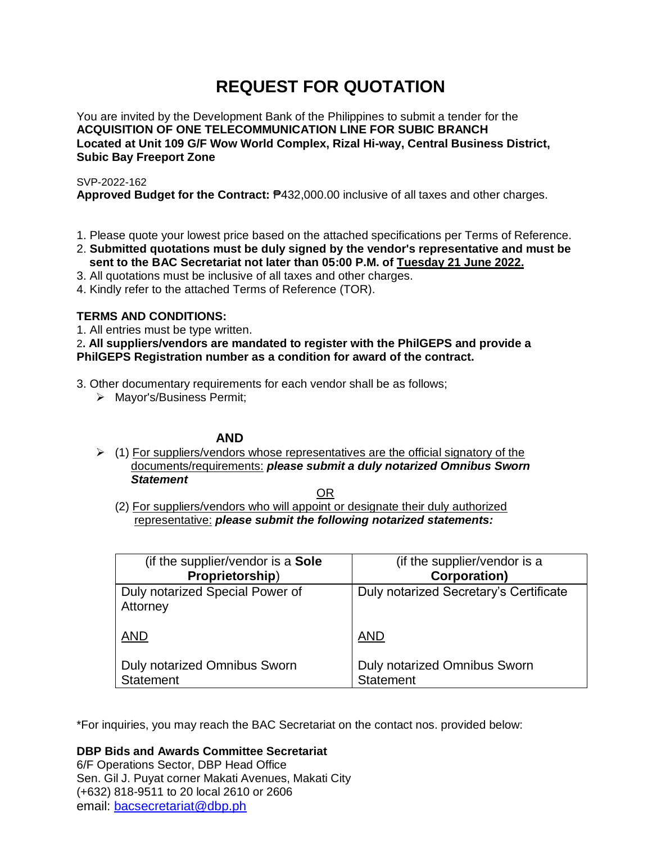# **REQUEST FOR QUOTATION**

You are invited by the Development Bank of the Philippines to submit a tender for the **ACQUISITION OF ONE TELECOMMUNICATION LINE FOR SUBIC BRANCH Located at Unit 109 G/F Wow World Complex, Rizal Hi-way, Central Business District, Subic Bay Freeport Zone**

SVP-2022-162

**Approved Budget for the Contract:** ₱432,000.00 inclusive of all taxes and other charges.

- 1. Please quote your lowest price based on the attached specifications per Terms of Reference.
- 2. **Submitted quotations must be duly signed by the vendor's representative and must be sent to the BAC Secretariat not later than 05:00 P.M. of Tuesday 21 June 2022.**
- 3. All quotations must be inclusive of all taxes and other charges.
- 4. Kindly refer to the attached Terms of Reference (TOR).

## **TERMS AND CONDITIONS:**

1. All entries must be type written.

2**. All suppliers/vendors are mandated to register with the PhilGEPS and provide a PhilGEPS Registration number as a condition for award of the contract.**

3. Other documentary requirements for each vendor shall be as follows;

> Mayor's/Business Permit;

# **AND**

 $\geq$  (1) For suppliers/vendors whose representatives are the official signatory of the documents/requirements: *please submit a duly notarized Omnibus Sworn Statement*

<u>OR Starting and the Starting OR Starting</u>

(2) For suppliers/vendors who will appoint or designate their duly authorized representative: *please submit the following notarized statements:*

| (if the supplier/vendor is a Sole           | (if the supplier/vendor is a           |
|---------------------------------------------|----------------------------------------|
| Proprietorship)                             | <b>Corporation)</b>                    |
| Duly notarized Special Power of<br>Attorney | Duly notarized Secretary's Certificate |
| <b>AND</b>                                  | <b>AND</b>                             |
| <b>Duly notarized Omnibus Sworn</b>         | <b>Duly notarized Omnibus Sworn</b>    |
| Statement                                   | <b>Statement</b>                       |

\*For inquiries, you may reach the BAC Secretariat on the contact nos. provided below:

**DBP Bids and Awards Committee Secretariat** 

6/F Operations Sector, DBP Head Office Sen. Gil J. Puyat corner Makati Avenues, Makati City (+632) 818-9511 to 20 local 2610 or 2606 email: [bacsecretariat@dbp.ph](mailto:bacsecretariat@dbp.ph)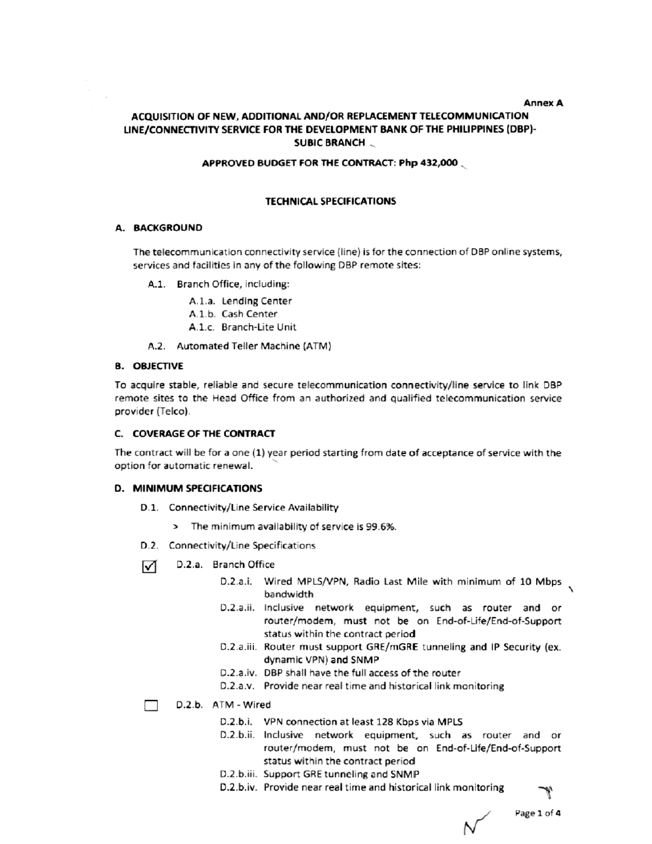#### **Annex A**

## ACQUISITION OF NEW, ADDITIONAL AND/OR REPLACEMENT TELECOMMUNICATION LINE/CONNECTIVITY SERVICE FOR THE DEVELOPMENT BANK OF THE PHILIPPINES (DBP)-**SUBIC BRANCH**

#### APPROVED BUDGET FOR THE CONTRACT: Php 432,000

#### **TECHNICAL SPECIFICATIONS**

#### A. BACKGROUND

The telecommunication connectivity service (line) is for the connection of DBP online systems, services and facilities in any of the following DBP remote sites:

A.1. Branch Office, including:

A.1.a. Lending Center

- A.1.b. Cash Center
- A.1.c. Branch-Lite Unit
- A.2. Automated Teller Machine (ATM)

#### **B. OBJECTIVE**

To acquire stable, reliable and secure telecommunication connectivity/line service to link DBP remote sites to the Head Office from an authorized and qualified telecommunication service provider (Telco).

#### C. COVERAGE OF THE CONTRACT

The contract will be for a one (1) year period starting from date of acceptance of service with the option for automatic renewal.

#### D. MINIMUM SPECIFICATIONS

- D.1. Connectivity/Line Service Availability
	- > The minimum availability of service is 99.6%.
- D.2. Connectivity/Line Specifications
- D.2.a. Branch Office ☑
	- D.2.a.i. Wired MPLS/VPN, Radio Last Mile with minimum of 10 Mbps bandwidth
	- D.2.a.ii. Inclusive network equipment, such as router and or router/modem, must not be on End-of-Life/End-of-Support status within the contract period
	- D.2.a.iii. Router must support GRE/mGRE tunneling and IP Security (ex. dynamic VPN) and SNMP
	- D.2.a.iv. DBP shall have the full access of the router
	- D.2.a.v. Provide near real time and historical link monitoring
- D.2.b. ATM Wired
	- D.2.b.i. VPN connection at least 128 Kbps via MPLS
	- D.2.b.ii. Inclusive network equipment, such as router and or router/modem, must not be on End-of-Life/End-of-Support status within the contract period
	- D.2.b.iii. Support GRE tunneling and SNMP
	- D.2.b.iv. Provide near real time and historical link monitoring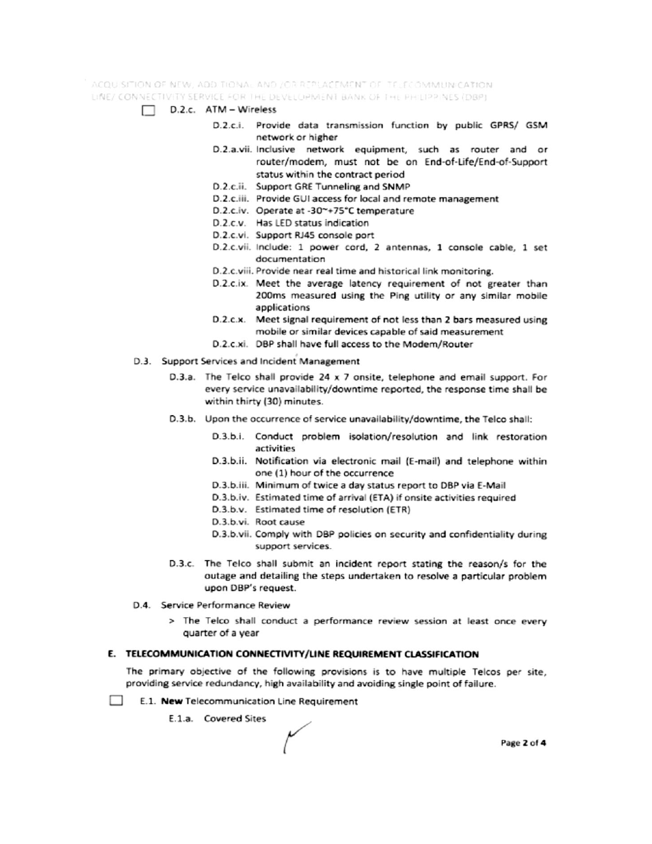ACQUISITION OF NEW, ADDITIONAL AND JOR REPLACEMENT OF TELECOMMUNICATION. LINE/ CONNECTIVITY SERVICE FOR THE DEVELOPMENT BANK OF THE PHILIPPINES (DBP)

- $\Box$  D.2.c. ATM Wireless
	- D.2.c.i. Provide data transmission function by public GPRS/ GSM network or higher
	- D.2.a.vii. Inclusive network equipment, such as router and or router/modem, must not be on End-of-Life/End-of-Support status within the contract period
	- D.2.c.ii. Support GRE Tunneling and SNMP
	- D.2.c.iii. Provide GUI access for local and remote management
	- D.2.c.iv. Operate at -30~+75°C temperature
	- D.2.c.v. Has LED status indication
	- D.2.c.vi. Support RJ45 console port
	- D.2.c.vii. Include: 1 power cord, 2 antennas, 1 console cable, 1 set documentation
	- D.2.c.viii. Provide near real time and historical link monitoring.
	- D.2.c.ix. Meet the average latency requirement of not greater than 200ms measured using the Ping utility or any similar mobile applications
	- D.2.c.x. Meet signal requirement of not less than 2 bars measured using mobile or similar devices capable of said measurement
	- D.2.c.xi. DBP shall have full access to the Modem/Router
- D.3. Support Services and Incident Management
	- D.3.a. The Telco shall provide 24 x 7 onsite, telephone and email support. For every service unavailability/downtime reported, the response time shall be within thirty (30) minutes.
	- D.3.b. Upon the occurrence of service unavailability/downtime, the Telco shall:
		- D.3.b.i. Conduct problem isolation/resolution and link restoration activities
		- D.3.b.ii. Notification via electronic mail (E-mail) and telephone within one (1) hour of the occurrence
		- D.3.b.iii. Minimum of twice a day status report to DBP via E-Mail
		- D.3.b.iv. Estimated time of arrival (ETA) if onsite activities required
		- D.3.b.v. Estimated time of resolution (ETR)
		- D.3.b.vi. Root cause
		- D.3.b.vii. Comply with DBP policies on security and confidentiality during support services.
	- D.3.c. The Telco shall submit an incident report stating the reason/s for the outage and detailing the steps undertaken to resolve a particular problem upon DBP's request.
- D.4. Service Performance Review
	- > The Telco shall conduct a performance review session at least once every quarter of a year

#### E. TELECOMMUNICATION CONNECTIVITY/LINE REQUIREMENT CLASSIFICATION

The primary objective of the following provisions is to have multiple Telcos per site, providing service redundancy, high availability and avoiding single point of failure.

- **College** E.1. New Telecommunication Line Requirement
	- E.1.a. Covered Sites

Page 2 of 4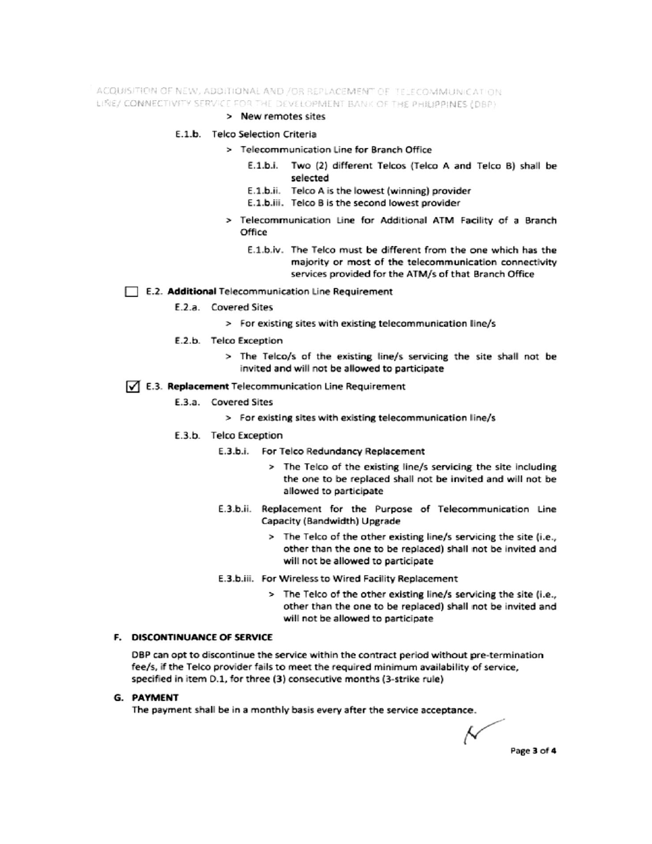ACQUISITION OF NEW, ADDITIONAL AND /OR REPLACEMENT OF TELECOMMUNICATION LINE/ CONNECTIVITY SERVICE FOR THE DEVELOPMENT BANK OF THE PHILIPPINES (DBP)

#### > New remotes sites

#### E.1.b. Telco Selection Criteria

- > Telecommunication Line for Branch Office
	- E.1.b.i. Two (2) different Telcos (Telco A and Telco B) shall be selected
	- E.1.b.ii. Telco A is the lowest (winning) provider
	- E.1.b.iii. Telco B is the second lowest provider
- > Telecommunication Line for Additional ATM Facility of a Branch Office
	- E.1.b.iv. The Telco must be different from the one which has the majority or most of the telecommunication connectivity services provided for the ATM/s of that Branch Office

#### E.2. Additional Telecommunication Line Requirement

- E.2.a. Covered Sites
	- > For existing sites with existing telecommunication line/s
- E.2.b. Telco Exception
	- > The Telco/s of the existing line/s servicing the site shall not be invited and will not be allowed to participate

### √ E.3. Replacement Telecommunication Line Requirement

- E.3.a. Covered Sites
	- > For existing sites with existing telecommunication line/s
- E.3.b. Telco Exception
	- E.3.b.i. For Telco Redundancy Replacement
		- > The Telco of the existing line/s servicing the site including the one to be replaced shall not be invited and will not be allowed to participate
	- E.3.b.ii. Replacement for the Purpose of Telecommunication Line Capacity (Bandwidth) Upgrade
		- > The Telco of the other existing line/s servicing the site (i.e., other than the one to be replaced) shall not be invited and will not be allowed to participate
	- E.3.b.iii. For Wireless to Wired Facility Replacement
		- > The Telco of the other existing line/s servicing the site (i.e., other than the one to be replaced) shall not be invited and will not be allowed to participate

## F. DISCONTINUANCE OF SERVICE

DBP can opt to discontinue the service within the contract period without pre-termination fee/s, if the Telco provider fails to meet the required minimum availability of service, specified in item D.1, for three (3) consecutive months (3-strike rule)

#### **G. PAYMENT**

The payment shall be in a monthly basis every after the service acceptance.

Ν Page 3 of 4